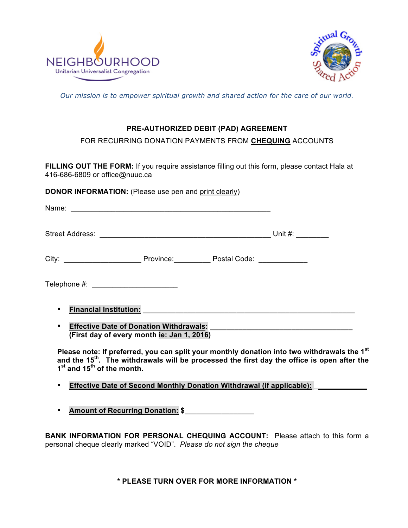



*Our mission is to empower spiritual growth and shared action for the care of our world.*

## **PRE-AUTHORIZED DEBIT (PAD) AGREEMENT**

FOR RECURRING DONATION PAYMENTS FROM **CHEQUING** ACCOUNTS

**FILLING OUT THE FORM:** If you require assistance filling out this form, please contact Hala at 416-686-6809 or office@nuuc.ca

**DONOR INFORMATION:** (Please use pen and print clearly)

| Street Address: Unit #: Unit #:                                                                                                                                                                                                                  |  |  |  |  |  |  |
|--------------------------------------------------------------------------------------------------------------------------------------------------------------------------------------------------------------------------------------------------|--|--|--|--|--|--|
|                                                                                                                                                                                                                                                  |  |  |  |  |  |  |
| Telephone #: _________________________                                                                                                                                                                                                           |  |  |  |  |  |  |
| <b>Financial Institution:</b> The state of the state of the state of the state of the state of the state of the state of the state of the state of the state of the state of the state of the state of the state of the state of th<br>$\bullet$ |  |  |  |  |  |  |
| <b>Effective Date of Donation Withdrawals:</b><br>$\bullet$<br>(First day of every month ie: Jan 1, 2016)                                                                                                                                        |  |  |  |  |  |  |

**Please note: If preferred, you can split your monthly donation into two withdrawals the 1st and the 15th. The withdrawals will be processed the first day the office is open after the 1st and 15th of the month.**

- **Effective Date of Second Monthly Donation Withdrawal (if applicable): \_\_\_\_\_\_\_\_\_\_\_\_\_**
- **Amount of Recurring Donation: \$\_\_\_\_\_\_\_\_\_\_\_\_\_\_\_\_\_**

**BANK INFORMATION FOR PERSONAL CHEQUING ACCOUNT:** Please attach to this form a personal cheque clearly marked "VOID". *Please do not sign the cheque*

**\* PLEASE TURN OVER FOR MORE INFORMATION \***